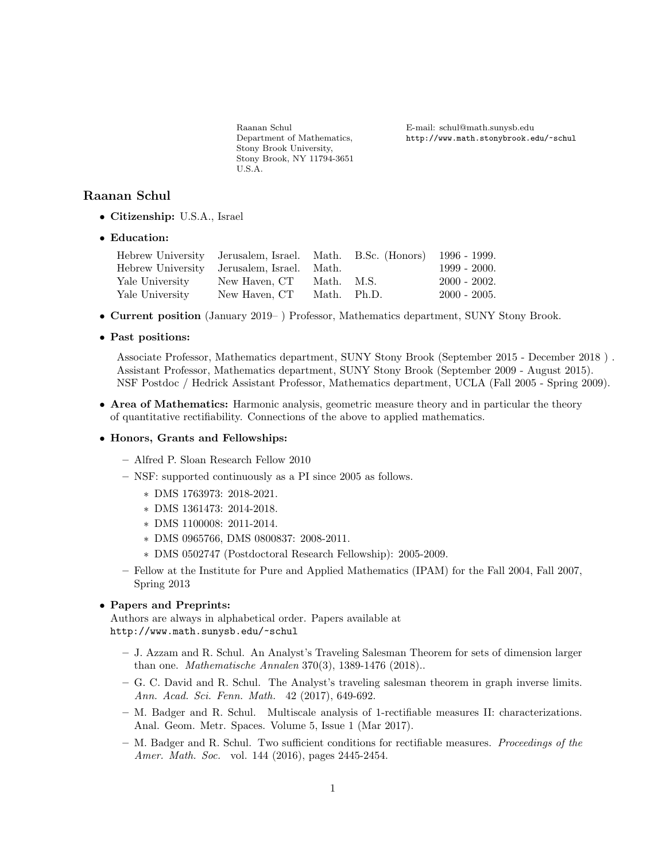Stony Brook University, Stony Brook, NY 11794-3651 U.S.A.

Raanan Schul E-mail: schul@math.sunysb.edu Department of Mathematics, http://www.math.stonybrook.edu/~schul

# Raanan Schul

- Citizenship: U.S.A., Israel
- Education:

| Hebrew University Jerusalem, Israel. Math. B.Sc. (Honors) 1996 - 1999. |               |             |                 |
|------------------------------------------------------------------------|---------------|-------------|-----------------|
| Hebrew University Jerusalem, Israel. Math.                             |               |             | $1999 - 2000.$  |
| Yale University                                                        | New Haven, CT | Math. M.S.  | $2000 - 2002$ . |
| Yale University                                                        | New Haven, CT | Math. Ph.D. | $2000 - 2005.$  |

- Current position (January 2019– ) Professor, Mathematics department, SUNY Stony Brook.
- Past positions:

Associate Professor, Mathematics department, SUNY Stony Brook (September 2015 - December 2018 ) . Assistant Professor, Mathematics department, SUNY Stony Brook (September 2009 - August 2015). NSF Postdoc / Hedrick Assistant Professor, Mathematics department, UCLA (Fall 2005 - Spring 2009).

- Area of Mathematics: Harmonic analysis, geometric measure theory and in particular the theory of quantitative rectifiability. Connections of the above to applied mathematics.
- Honors, Grants and Fellowships:
	- Alfred P. Sloan Research Fellow 2010
	- NSF: supported continuously as a PI since 2005 as follows.
		- ∗ DMS 1763973: 2018-2021.
		- ∗ DMS 1361473: 2014-2018.
		- ∗ DMS 1100008: 2011-2014.
		- ∗ DMS 0965766, DMS 0800837: 2008-2011.
		- ∗ DMS 0502747 (Postdoctoral Research Fellowship): 2005-2009.
	- Fellow at the Institute for Pure and Applied Mathematics (IPAM) for the Fall 2004, Fall 2007, Spring 2013

## • Papers and Preprints:

Authors are always in alphabetical order. Papers available at http://www.math.sunysb.edu/~schul

- J. Azzam and R. Schul. An Analyst's Traveling Salesman Theorem for sets of dimension larger than one. Mathematische Annalen 370(3), 1389-1476 (2018)..
- G. C. David and R. Schul. The Analyst's traveling salesman theorem in graph inverse limits. Ann. Acad. Sci. Fenn. Math. 42 (2017), 649-692.
- M. Badger and R. Schul. Multiscale analysis of 1-rectifiable measures II: characterizations. Anal. Geom. Metr. Spaces. Volume 5, Issue 1 (Mar 2017).
- $-$  M. Badger and R. Schul. Two sufficient conditions for rectifiable measures. *Proceedings of the* Amer. Math. Soc. vol. 144 (2016), pages 2445-2454.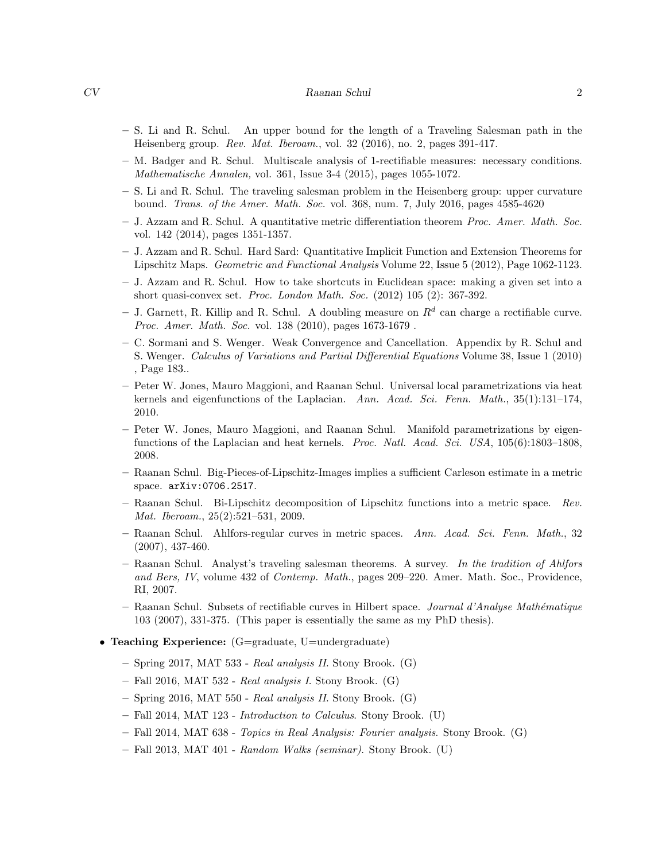- S. Li and R. Schul. An upper bound for the length of a Traveling Salesman path in the Heisenberg group. Rev. Mat. Iberoam., vol. 32 (2016), no. 2, pages 391-417.
- M. Badger and R. Schul. Multiscale analysis of 1-rectifiable measures: necessary conditions. Mathematische Annalen, vol. 361, Issue 3-4 (2015), pages 1055-1072.
- S. Li and R. Schul. The traveling salesman problem in the Heisenberg group: upper curvature bound. Trans. of the Amer. Math. Soc. vol. 368, num. 7, July 2016, pages 4585-4620
- $-$  J. Azzam and R. Schul. A quantitative metric differentiation theorem *Proc. Amer. Math. Soc.* vol. 142 (2014), pages 1351-1357.
- J. Azzam and R. Schul. Hard Sard: Quantitative Implicit Function and Extension Theorems for Lipschitz Maps. Geometric and Functional Analysis Volume 22, Issue 5 (2012), Page 1062-1123.
- J. Azzam and R. Schul. How to take shortcuts in Euclidean space: making a given set into a short quasi-convex set. Proc. London Math. Soc. (2012) 105 (2): 367-392.
- J. Garnett, R. Killip and R. Schul. A doubling measure on  $R<sup>d</sup>$  can charge a rectifiable curve. Proc. Amer. Math. Soc. vol. 138 (2010), pages 1673-1679 .
- C. Sormani and S. Wenger. Weak Convergence and Cancellation. Appendix by R. Schul and S. Wenger. Calculus of Variations and Partial Differential Equations Volume 38, Issue 1 (2010) , Page 183..
- Peter W. Jones, Mauro Maggioni, and Raanan Schul. Universal local parametrizations via heat kernels and eigenfunctions of the Laplacian. Ann. Acad. Sci. Fenn. Math., 35(1):131–174, 2010.
- Peter W. Jones, Mauro Maggioni, and Raanan Schul. Manifold parametrizations by eigenfunctions of the Laplacian and heat kernels. *Proc. Natl. Acad. Sci. USA*, 105(6):1803–1808, 2008.
- Raanan Schul. Big-Pieces-of-Lipschitz-Images implies a sufficient Carleson estimate in a metric space. arXiv:0706.2517.
- Raanan Schul. Bi-Lipschitz decomposition of Lipschitz functions into a metric space. Rev. Mat. Iberoam., 25(2):521–531, 2009.
- Raanan Schul. Ahlfors-regular curves in metric spaces. Ann. Acad. Sci. Fenn. Math., 32 (2007), 437-460.
- $-$  Raanan Schul. Analyst's traveling salesman theorems. A survey. In the tradition of Ahlfors and Bers, IV, volume 432 of Contemp. Math., pages 209–220. Amer. Math. Soc., Providence, RI, 2007.
- Raanan Schul. Subsets of rectifiable curves in Hilbert space. Journal d'Analyse Math´ematique 103 (2007), 331-375. (This paper is essentially the same as my PhD thesis).
- Teaching Experience: (G=graduate, U=undergraduate)
	- Spring 2017, MAT 533 Real analysis II. Stony Brook. (G)
	- Fall 2016, MAT 532 Real analysis I. Stony Brook. (G)
	- Spring 2016, MAT 550 Real analysis II. Stony Brook. (G)
	- Fall 2014, MAT 123 Introduction to Calculus. Stony Brook. (U)
	- Fall 2014, MAT 638 Topics in Real Analysis: Fourier analysis. Stony Brook. (G)
	- Fall 2013, MAT 401 Random Walks (seminar). Stony Brook. (U)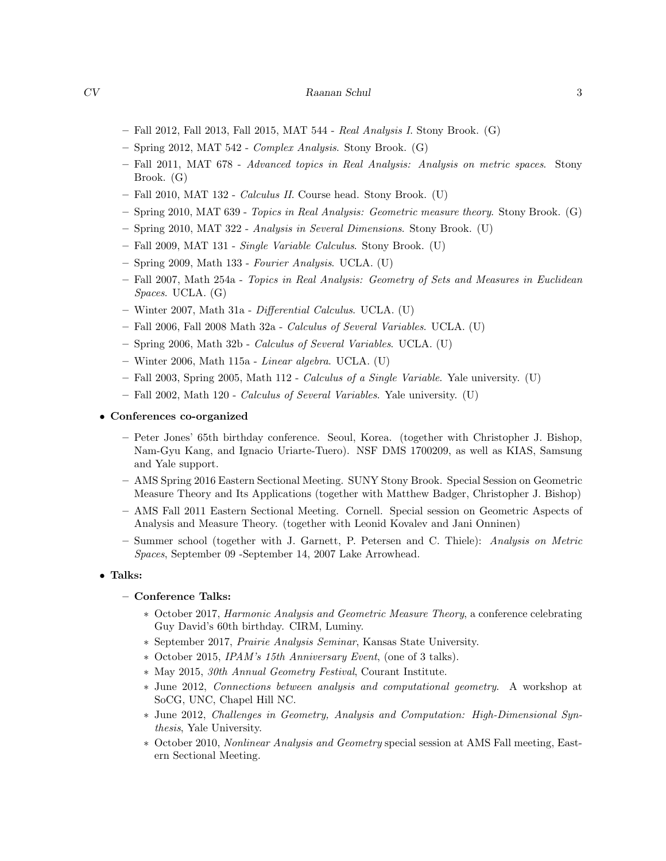- Fall 2012, Fall 2013, Fall 2015, MAT 544 Real Analysis I. Stony Brook. (G)
- Spring 2012, MAT 542 Complex Analysis. Stony Brook. (G)
- Fall 2011, MAT 678 Advanced topics in Real Analysis: Analysis on metric spaces. Stony Brook. (G)
- Fall 2010, MAT 132 Calculus II. Course head. Stony Brook. (U)
- Spring 2010, MAT 639 Topics in Real Analysis: Geometric measure theory. Stony Brook. (G)
- Spring 2010, MAT 322 Analysis in Several Dimensions. Stony Brook. (U)
- Fall 2009, MAT 131 Single Variable Calculus. Stony Brook. (U)
- Spring 2009, Math 133 Fourier Analysis. UCLA. (U)
- Fall 2007, Math 254a Topics in Real Analysis: Geometry of Sets and Measures in Euclidean Spaces. UCLA. (G)
- Winter 2007, Math 31a Differential Calculus. UCLA. (U)
- Fall 2006, Fall 2008 Math 32a Calculus of Several Variables. UCLA. (U)
- Spring 2006, Math 32b Calculus of Several Variables. UCLA. (U)
- Winter 2006, Math 115a Linear algebra. UCLA. (U)
- $-$  Fall 2003, Spring 2005, Math 112 Calculus of a Single Variable. Yale university. (U)
- Fall 2002, Math 120 Calculus of Several Variables. Yale university. (U)

### • Conferences co-organized

- Peter Jones' 65th birthday conference. Seoul, Korea. (together with Christopher J. Bishop, Nam-Gyu Kang, and Ignacio Uriarte-Tuero). NSF DMS 1700209, as well as KIAS, Samsung and Yale support.
- AMS Spring 2016 Eastern Sectional Meeting. SUNY Stony Brook. Special Session on Geometric Measure Theory and Its Applications (together with Matthew Badger, Christopher J. Bishop)
- AMS Fall 2011 Eastern Sectional Meeting. Cornell. Special session on Geometric Aspects of Analysis and Measure Theory. (together with Leonid Kovalev and Jani Onninen)
- Summer school (together with J. Garnett, P. Petersen and C. Thiele): Analysis on Metric Spaces, September 09 -September 14, 2007 Lake Arrowhead.

#### • Talks:

### – Conference Talks:

- ∗ October 2017, Harmonic Analysis and Geometric Measure Theory, a conference celebrating Guy David's 60th birthday. CIRM, Luminy.
- ∗ September 2017, Prairie Analysis Seminar, Kansas State University.
- ∗ October 2015, IPAM's 15th Anniversary Event, (one of 3 talks).
- ∗ May 2015, 30th Annual Geometry Festival, Courant Institute.
- ∗ June 2012, Connections between analysis and computational geometry. A workshop at SoCG, UNC, Chapel Hill NC.
- ∗ June 2012, Challenges in Geometry, Analysis and Computation: High-Dimensional Synthesis, Yale University.
- ∗ October 2010, Nonlinear Analysis and Geometry special session at AMS Fall meeting, Eastern Sectional Meeting.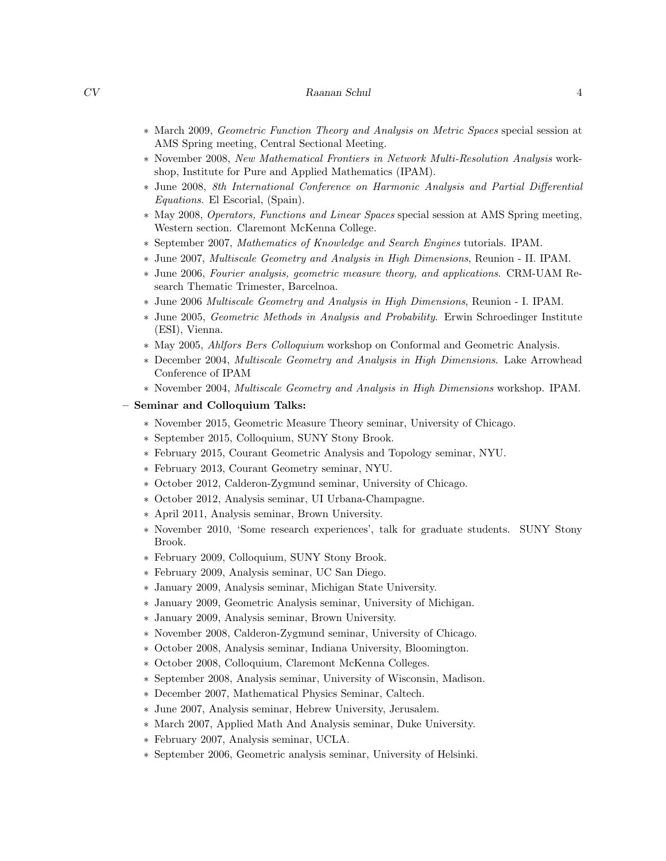- ∗ March 2009, Geometric Function Theory and Analysis on Metric Spaces special session at AMS Spring meeting, Central Sectional Meeting.
- ∗ November 2008, New Mathematical Frontiers in Network Multi-Resolution Analysis workshop, Institute for Pure and Applied Mathematics (IPAM).
- ∗ June 2008, 8th International Conference on Harmonic Analysis and Partial Differential Equations. El Escorial, (Spain).
- ∗ May 2008, Operators, Functions and Linear Spaces special session at AMS Spring meeting, Western section. Claremont McKenna College.
- ∗ September 2007, Mathematics of Knowledge and Search Engines tutorials. IPAM.
- ∗ June 2007, Multiscale Geometry and Analysis in High Dimensions, Reunion II. IPAM.
- ∗ June 2006, Fourier analysis, geometric measure theory, and applications. CRM-UAM Research Thematic Trimester, Barcelnoa.
- ∗ June 2006 Multiscale Geometry and Analysis in High Dimensions, Reunion I. IPAM.
- ∗ June 2005, Geometric Methods in Analysis and Probability. Erwin Schroedinger Institute (ESI), Vienna.
- ∗ May 2005, Ahlfors Bers Colloquium workshop on Conformal and Geometric Analysis.
- ∗ December 2004, Multiscale Geometry and Analysis in High Dimensions. Lake Arrowhead Conference of IPAM
- ∗ November 2004, Multiscale Geometry and Analysis in High Dimensions workshop. IPAM.

### – Seminar and Colloquium Talks:

- ∗ November 2015, Geometric Measure Theory seminar, University of Chicago.
- ∗ September 2015, Colloquium, SUNY Stony Brook.
- ∗ February 2015, Courant Geometric Analysis and Topology seminar, NYU.
- ∗ February 2013, Courant Geometry seminar, NYU.
- ∗ October 2012, Calderon-Zygmund seminar, University of Chicago.
- ∗ October 2012, Analysis seminar, UI Urbana-Champagne.
- ∗ April 2011, Analysis seminar, Brown University.
- ∗ November 2010, 'Some research experiences', talk for graduate students. SUNY Stony Brook.
- ∗ February 2009, Colloquium, SUNY Stony Brook.
- ∗ February 2009, Analysis seminar, UC San Diego.
- ∗ January 2009, Analysis seminar, Michigan State University.
- ∗ January 2009, Geometric Analysis seminar, University of Michigan.
- ∗ January 2009, Analysis seminar, Brown University.
- ∗ November 2008, Calderon-Zygmund seminar, University of Chicago.
- ∗ October 2008, Analysis seminar, Indiana University, Bloomington.
- ∗ October 2008, Colloquium, Claremont McKenna Colleges.
- ∗ September 2008, Analysis seminar, University of Wisconsin, Madison.
- ∗ December 2007, Mathematical Physics Seminar, Caltech.
- ∗ June 2007, Analysis seminar, Hebrew University, Jerusalem.
- ∗ March 2007, Applied Math And Analysis seminar, Duke University.
- ∗ February 2007, Analysis seminar, UCLA.
- ∗ September 2006, Geometric analysis seminar, University of Helsinki.